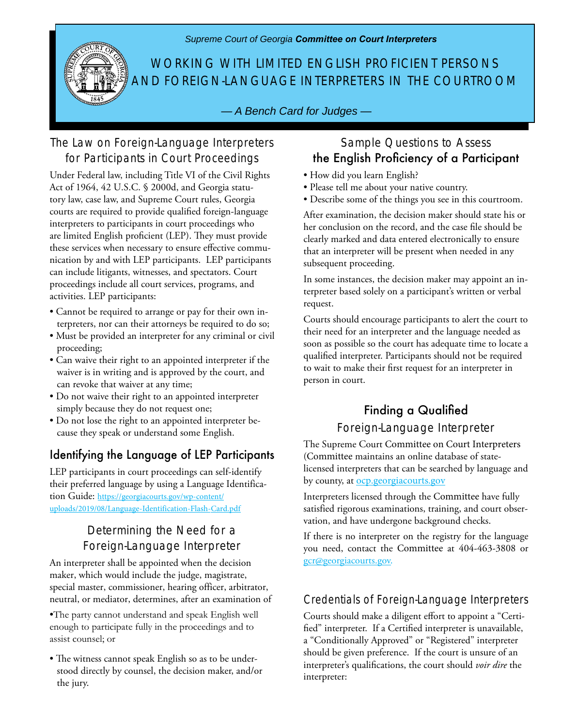*Supreme Court of Georgia Committee on Court Interpreters*



WORKING WITH LIMITED ENGLISH PROFICIENT PERSONS AND FOREIGN-LANGUAGE INTERPRETERS IN THE COURTROOM

*— A Bench Card for Judges —*

## The Law on Foreign-Language Interpreters for Participants in Court Proceedings

Under Federal law, including Title VI of the Civil Rights Act of 1964, 42 U.S.C. § 2000d, and Georgia statutory law, case law, and Supreme Court rules, Georgia courts are required to provide qualified foreign-language interpreters to participants in court proceedings who are limited English proficient (LEP). They must provide these services when necessary to ensure effective communication by and with LEP participants. LEP participants can include litigants, witnesses, and spectators. Court proceedings include all court services, programs, and activities. LEP participants:

- Cannot be required to arrange or pay for their own interpreters, nor can their attorneys be required to do so;
- Must be provided an interpreter for any criminal or civil proceeding;
- Can waive their right to an appointed interpreter if the waiver is in writing and is approved by the court, and can revoke that waiver at any time;
- Do not waive their right to an appointed interpreter simply because they do not request one;
- Do not lose the right to an appointed interpreter because they speak or understand some English.

# Identifying the Language of LEP Participants

LEP participants in court proceedings can self-identify their preferred language by using a Language Identification Guide: https://georgiacourts.gov/wp-content/ uploads/2019/08/Language-Identification-Flash-Card.pdf

## Determining the Need for a Foreign-Language Interpreter

An interpreter shall be appointed when the decision maker, which would include the judge, magistrate, special master, commissioner, hearing officer, arbitrator, neutral, or mediator, determines, after an examination of

•The party cannot understand and speak English well enough to participate fully in the proceedings and to assist counsel; or

• The witness cannot speak English so as to be understood directly by counsel, the decision maker, and/or the jury.

## Sample Questions to Assess the English Proficiency of a Participant

- How did you learn English?
- Please tell me about your native country.
- Describe some of the things you see in this courtroom.

After examination, the decision maker should state his or her conclusion on the record, and the case file should be clearly marked and data entered electronically to ensure that an interpreter will be present when needed in any subsequent proceeding.

In some instances, the decision maker may appoint an interpreter based solely on a participant's written or verbal request.

Courts should encourage participants to alert the court to their need for an interpreter and the language needed as soon as possible so the court has adequate time to locate a qualified interpreter. Participants should not be required to wait to make their first request for an interpreter in person in court.

## Finding a Qualified Foreign-Language Interpreter

The Supreme Court Committee on Court Interpreters (Committee maintains an online database of statelicensed interpreters that can be searched by language and by county, at ocp.georgiacourts.gov

Interpreters licensed through the Committee have fully satisfied rigorous examinations, training, and court observation, and have undergone background checks.

If there is no interpreter on the registry for the language you need, contact the Committee at 404-463-3808 or gcr@georgiacourts.gov.

## Credentials of Foreign-Language Interpreters

Courts should make a diligent effort to appoint a "Certified" interpreter. If a Certified interpreter is unavailable, a "Conditionally Approved" or "Registered" interpreter should be given preference. If the court is unsure of an interpreter's qualifications, the court should *voir dire* the interpreter: